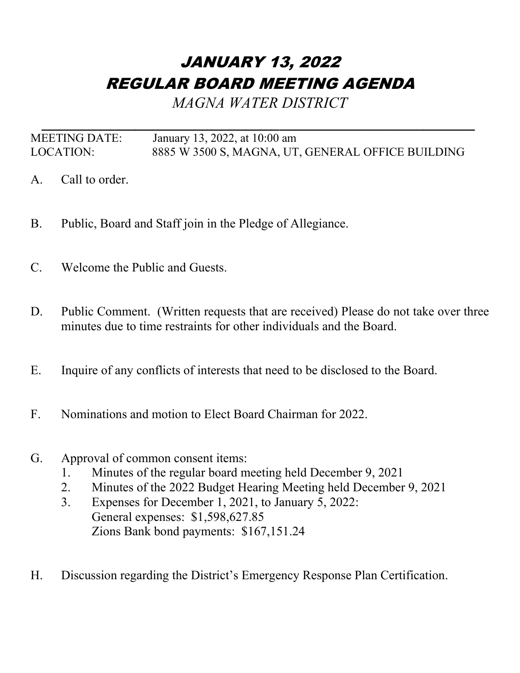## JANUARY 13, 2022 REGULAR BOARD MEETING AGENDA

*MAGNA WATER DISTRICT*

*\_\_\_\_\_\_\_\_\_\_\_\_\_\_\_\_\_\_\_\_\_\_\_\_\_\_\_\_\_\_\_\_\_\_\_\_\_\_\_\_\_\_\_\_\_\_\_\_\_\_\_* MEETING DATE: January 13, 2022, at 10:00 am LOCATION: 8885 W 3500 S, MAGNA, UT, GENERAL OFFICE BUILDING

- A. Call to order.
- B. Public, Board and Staff join in the Pledge of Allegiance.
- C. Welcome the Public and Guests.
- D. Public Comment. (Written requests that are received) Please do not take over three minutes due to time restraints for other individuals and the Board.
- E. Inquire of any conflicts of interests that need to be disclosed to the Board.
- F. Nominations and motion to Elect Board Chairman for 2022.
- G. Approval of common consent items:
	- 1. Minutes of the regular board meeting held December 9, 2021
	- 2. Minutes of the 2022 Budget Hearing Meeting held December 9, 2021
	- 3. Expenses for December 1, 2021, to January 5, 2022: General expenses: \$1,598,627.85 Zions Bank bond payments: \$167,151.24
- H. Discussion regarding the District's Emergency Response Plan Certification.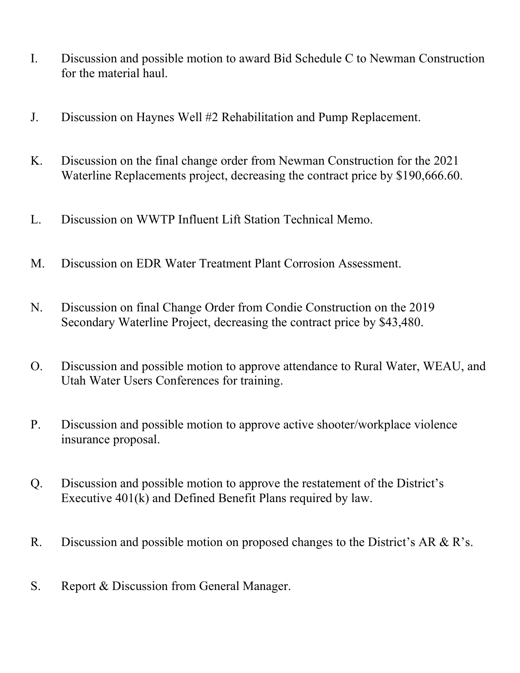- I. Discussion and possible motion to award Bid Schedule C to Newman Construction for the material haul.
- J. Discussion on Haynes Well #2 Rehabilitation and Pump Replacement.
- K. Discussion on the final change order from Newman Construction for the 2021 Waterline Replacements project, decreasing the contract price by \$190,666.60.
- L. Discussion on WWTP Influent Lift Station Technical Memo.
- M. Discussion on EDR Water Treatment Plant Corrosion Assessment.
- N. Discussion on final Change Order from Condie Construction on the 2019 Secondary Waterline Project, decreasing the contract price by \$43,480.
- O. Discussion and possible motion to approve attendance to Rural Water, WEAU, and Utah Water Users Conferences for training.
- P. Discussion and possible motion to approve active shooter/workplace violence insurance proposal.
- Q. Discussion and possible motion to approve the restatement of the District's Executive 401(k) and Defined Benefit Plans required by law.
- R. Discussion and possible motion on proposed changes to the District's AR & R's.
- S. Report & Discussion from General Manager.